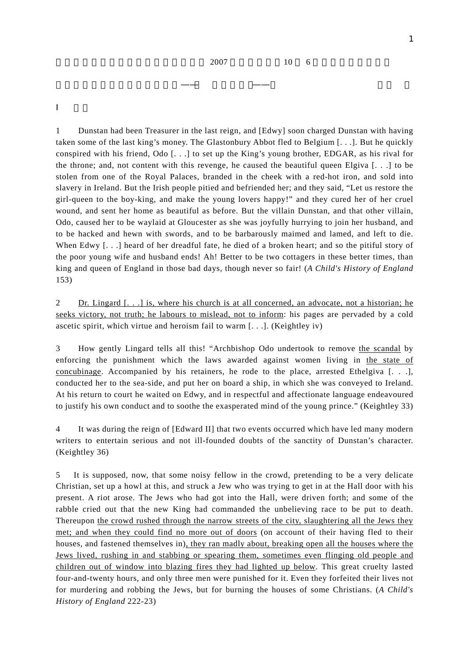1 Dunstan had been Treasurer in the last reign, and [Edwy] soon charged Dunstan with having taken some of the last king's money. The Glastonbury Abbot fled to Belgium [. . .]. But he quickly conspired with his friend, Odo [. . .] to set up the King's young brother, EDGAR, as his rival for the throne; and, not content with this revenge, he caused the beautiful queen Elgiva [. . .] to be stolen from one of the Royal Palaces, branded in the cheek with a red-hot iron, and sold into slavery in Ireland. But the Irish people pitied and befriended her; and they said, "Let us restore the girl-queen to the boy-king, and make the young lovers happy!" and they cured her of her cruel wound, and sent her home as beautiful as before. But the villain Dunstan, and that other villain, Odo, caused her to be waylaid at Gloucester as she was joyfully hurrying to join her husband, and to be hacked and hewn with swords, and to be barbarously maimed and lamed, and left to die. When Edwy [...] heard of her dreadful fate, he died of a broken heart; and so the pitiful story of the poor young wife and husband ends! Ah! Better to be two cottagers in these better times, than king and queen of England in those bad days, though never so fair! (*A Child's History of England* 153)

2 Dr. Lingard [. . .] is, where his church is at all concerned, an advocate, not a historian; he seeks victory, not truth; he labours to mislead, not to inform: his pages are pervaded by a cold ascetic spirit, which virtue and heroism fail to warm [. . .]. (Keightley iv)

3 How gently Lingard tells all this! "Archbishop Odo undertook to remove the scandal by enforcing the punishment which the laws awarded against women living in the state of concubinage. Accompanied by his retainers, he rode to the place, arrested Ethelgiva [. . .], conducted her to the sea-side, and put her on board a ship, in which she was conveyed to Ireland. At his return to court he waited on Edwy, and in respectful and affectionate language endeavoured to justify his own conduct and to soothe the exasperated mind of the young prince." (Keightley 33)

4 It was during the reign of [Edward II] that two events occurred which have led many modern writers to entertain serious and not ill-founded doubts of the sanctity of Dunstan's character. (Keightley 36)

5 It is supposed, now, that some noisy fellow in the crowd, pretending to be a very delicate Christian, set up a howl at this, and struck a Jew who was trying to get in at the Hall door with his present. A riot arose. The Jews who had got into the Hall, were driven forth; and some of the rabble cried out that the new King had commanded the unbelieving race to be put to death. Thereupon the crowd rushed through the narrow streets of the city, slaughtering all the Jews they met; and when they could find no more out of doors (on account of their having fled to their houses, and fastened themselves in), they ran madly about, breaking open all the houses where the Jews lived, rushing in and stabbing or spearing them, sometimes even flinging old people and children out of window into blazing fires they had lighted up below. This great cruelty lasted four-and-twenty hours, and only three men were punished for it. Even they forfeited their lives not for murdering and robbing the Jews, but for burning the houses of some Christians. (*A Child's History of England* 222-23)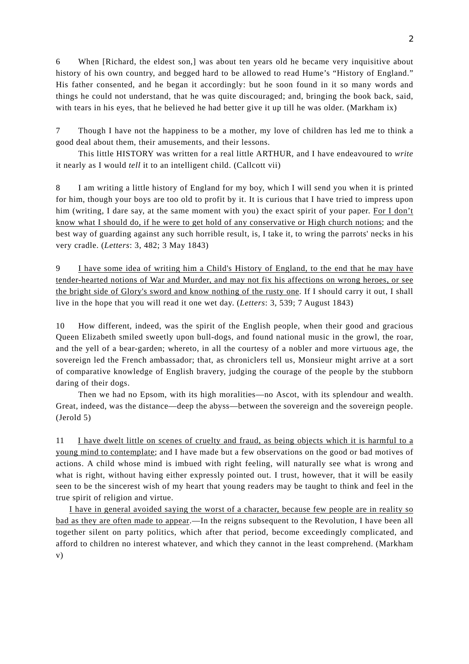6 When [Richard, the eldest son,] was about ten years old he became very inquisitive about history of his own country, and begged hard to be allowed to read Hume's "History of England." His father consented, and he began it accordingly: but he soon found in it so many words and things he could not understand, that he was quite discouraged; and, bringing the book back, said, with tears in his eyes, that he believed he had better give it up till he was older. (Markham ix)

7 Though I have not the happiness to be a mother, my love of children has led me to think a good deal about them, their amusements, and their lessons.

 This little HISTORY was written for a real little ARTHUR, and I have endeavoured to *write* it nearly as I would *tell* it to an intelligent child. (Callcott vii)

8 I am writing a little history of England for my boy, which I will send you when it is printed for him, though your boys are too old to profit by it. It is curious that I have tried to impress upon him (writing, I dare say, at the same moment with you) the exact spirit of your paper. For I don't know what I should do, if he were to get hold of any conservative or High church notions; and the best way of guarding against any such horrible result, is, I take it, to wring the parrots' necks in his very cradle. (*Letters*: 3, 482; 3 May 1843)

9 I have some idea of writing him a Child's History of England, to the end that he may have tender-hearted notions of War and Murder, and may not fix his affections on wrong heroes, or see the bright side of Glory's sword and know nothing of the rusty one. If I should carry it out, I shall live in the hope that you will read it one wet day. (*Letters*: 3, 539; 7 August 1843)

10 How different, indeed, was the spirit of the English people, when their good and gracious Queen Elizabeth smiled sweetly upon bull-dogs, and found national music in the growl, the roar, and the yell of a bear-garden; whereto, in all the courtesy of a nobler and more virtuous age, the sovereign led the French ambassador; that, as chroniclers tell us, Monsieur might arrive at a sort of comparative knowledge of English bravery, judging the courage of the people by the stubborn daring of their dogs.

Then we had no Epsom, with its high moralities—no Ascot, with its splendour and wealth. Great, indeed, was the distance—deep the abyss—between the sovereign and the sovereign people. (Jerold 5)

11 I have dwelt little on scenes of cruelty and fraud, as being objects which it is harmful to a young mind to contemplate; and I have made but a few observations on the good or bad motives of actions. A child whose mind is imbued with right feeling, will naturally see what is wrong and what is right, without having either expressly pointed out. I trust, however, that it will be easily seen to be the sincerest wish of my heart that young readers may be taught to think and feel in the true spirit of religion and virtue.

 I have in general avoided saying the worst of a character, because few people are in reality so bad as they are often made to appear.—In the reigns subsequent to the Revolution, I have been all together silent on party politics, which after that period, become exceedingly complicated, and afford to children no interest whatever, and which they cannot in the least comprehend. (Markham v)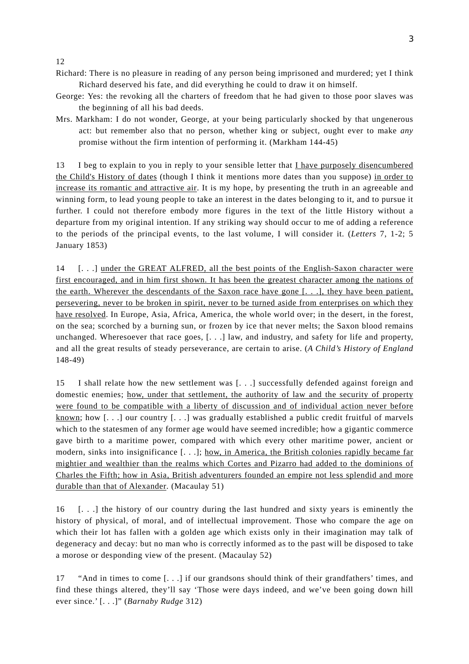12

- Richard: There is no pleasure in reading of any person being imprisoned and murdered; yet I think Richard deserved his fate, and did everything he could to draw it on himself.
- George: Yes: the revoking all the charters of freedom that he had given to those poor slaves was the beginning of all his bad deeds.
- Mrs. Markham: I do not wonder, George, at your being particularly shocked by that ungenerous act: but remember also that no person, whether king or subject, ought ever to make *any* promise without the firm intention of performing it. (Markham 144-45)

13 I beg to explain to you in reply to your sensible letter that I have purposely disencumbered the Child's History of dates (though I think it mentions more dates than you suppose) in order to increase its romantic and attractive air. It is my hope, by presenting the truth in an agreeable and winning form, to lead young people to take an interest in the dates belonging to it, and to pursue it further. I could not therefore embody more figures in the text of the little History without a departure from my original intention. If any striking way should occur to me of adding a reference to the periods of the principal events, to the last volume, I will consider it. (*Letters* 7, 1-2; 5 January 1853)

14 [. . .] under the GREAT ALFRED, all the best points of the English-Saxon character were first encouraged, and in him first shown. It has been the greatest character among the nations of the earth. Wherever the descendants of the Saxon race have gone [. . .], they have been patient, persevering, never to be broken in spirit, never to be turned aside from enterprises on which they have resolved. In Europe, Asia, Africa, America, the whole world over; in the desert, in the forest, on the sea; scorched by a burning sun, or frozen by ice that never melts; the Saxon blood remains unchanged. Wheresoever that race goes, [. . .] law, and industry, and safety for life and property, and all the great results of steady perseverance, are certain to arise. (*A Child's History of England* 148-49)

15 I shall relate how the new settlement was [. . .] successfully defended against foreign and domestic enemies; how, under that settlement, the authority of law and the security of property were found to be compatible with a liberty of discussion and of individual action never before known; how [. . .] our country [. . .] was gradually established a public credit fruitful of marvels which to the statesmen of any former age would have seemed incredible; how a gigantic commerce gave birth to a maritime power, compared with which every other maritime power, ancient or modern, sinks into insignificance [. . .]; how, in America, the British colonies rapidly became far mightier and wealthier than the realms which Cortes and Pizarro had added to the dominions of Charles the Fifth; how in Asia, British adventurers founded an empire not less splendid and more durable than that of Alexander. (Macaulay 51)

16 [. . .] the history of our country during the last hundred and sixty years is eminently the history of physical, of moral, and of intellectual improvement. Those who compare the age on which their lot has fallen with a golden age which exists only in their imagination may talk of degeneracy and decay: but no man who is correctly informed as to the past will be disposed to take a morose or desponding view of the present. (Macaulay 52)

17 "And in times to come [. . .] if our grandsons should think of their grandfathers' times, and find these things altered, they'll say 'Those were days indeed, and we've been going down hill ever since.' [. . .]" (*Barnaby Rudge* 312)